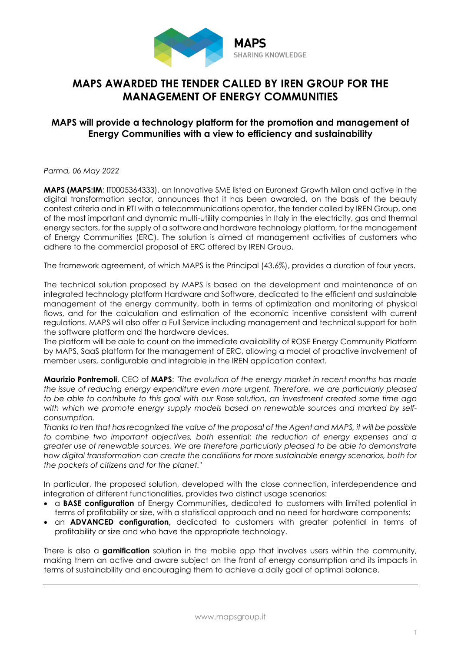

## **MAPS AWARDED THE TENDER CALLED BY IREN GROUP FOR THE MANAGEMENT OF ENERGY COMMUNITIES**

## **MAPS will provide a technology platform for the promotion and management of Energy Communities with a view to efficiency and sustainability**

*Parma, 06 May 2022*

**MAPS (MAPS:IM**; IT0005364333), an Innovative SME listed on Euronext Growth Milan and active in the digital transformation sector, announces that it has been awarded, on the basis of the beauty contest criteria and in RTI with a telecommunications operator, the tender called by IREN Group, one of the most important and dynamic multi-utility companies in Italy in the electricity, gas and thermal energy sectors, for the supply of a software and hardware technology platform, for the management of Energy Communities (ERC). The solution is aimed at management activities of customers who adhere to the commercial proposal of ERC offered by IREN Group.

The framework agreement, of which MAPS is the Principal (43.6%), provides a duration of four years.

The technical solution proposed by MAPS is based on the development and maintenance of an integrated technology platform Hardware and Software, dedicated to the efficient and sustainable management of the energy community, both in terms of optimization and monitoring of physical flows, and for the calculation and estimation of the economic incentive consistent with current regulations. MAPS will also offer a Full Service including management and technical support for both the software platform and the hardware devices.

The platform will be able to count on the immediate availability of ROSE Energy Community Platform by MAPS, SaaS platform for the management of ERC, allowing a model of proactive involvement of member users, configurable and integrable in the IREN application context.

**Maurizio Pontremoli**, CEO of **MAPS**: *"The evolution of the energy market in recent months has made the issue of reducing energy expenditure even more urgent. Therefore, we are particularly pleased to be able to contribute to this goal with our Rose solution, an investment created some time ago with which we promote energy supply models based on renewable sources and marked by selfconsumption.*

Thanks to Iren that has recognized the value of the proposal of the Agent and MAPS, it will be possible *to combine two important objectives, both essential: the reduction of energy expenses and a greater use of renewable sources. We are therefore particularly pleased to be able to demonstrate how digital transformation can create the conditions for more sustainable energy scenarios, both for the pockets of citizens and for the planet."*

In particular, the proposed solution, developed with the close connection, interdependence and integration of different functionalities, provides two distinct usage scenarios:

- a **BASE configuration** of Energy Communities**,** dedicated to customers with limited potential in terms of profitability or size, with a statistical approach and no need for hardware components;
- an **ADVANCED configuration,** dedicated to customers with greater potential in terms of profitability or size and who have the appropriate technology.

There is also a **gamification** solution in the mobile app that involves users within the community, making them an active and aware subject on the front of energy consumption and its impacts in terms of sustainability and encouraging them to achieve a daily goal of optimal balance.